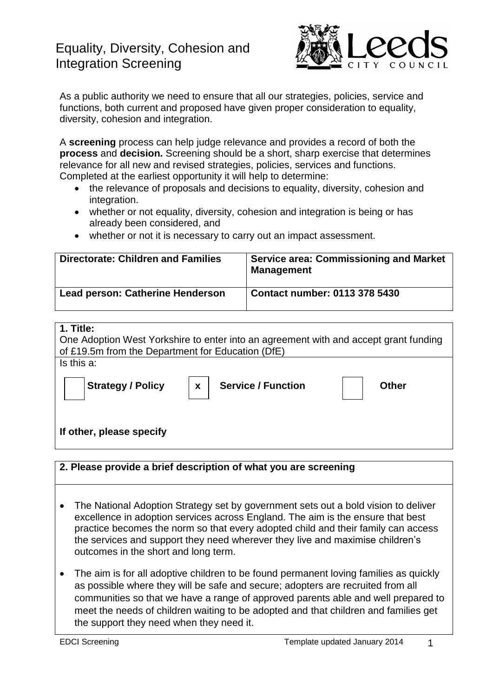# Equality, Diversity, Cohesion and Integration Screening



As a public authority we need to ensure that all our strategies, policies, service and functions, both current and proposed have given proper consideration to equality, diversity, cohesion and integration.

A **screening** process can help judge relevance and provides a record of both the **process** and **decision.** Screening should be a short, sharp exercise that determines relevance for all new and revised strategies, policies, services and functions. Completed at the earliest opportunity it will help to determine:

- the relevance of proposals and decisions to equality, diversity, cohesion and integration.
- whether or not equality, diversity, cohesion and integration is being or has already been considered, and
- whether or not it is necessary to carry out an impact assessment.

| <b>Directorate: Children and Families</b> | <b>Service area: Commissioning and Market</b><br><b>Management</b> |
|-------------------------------------------|--------------------------------------------------------------------|
| Lead person: Catherine Henderson          | Contact number: 0113 378 5430                                      |

| 1. Title:                                                                            |                                           |              |  |  |
|--------------------------------------------------------------------------------------|-------------------------------------------|--------------|--|--|
| One Adoption West Yorkshire to enter into an agreement with and accept grant funding |                                           |              |  |  |
| of £19.5m from the Department for Education (DfE)                                    |                                           |              |  |  |
| Is this a:                                                                           |                                           |              |  |  |
| <b>Strategy / Policy</b>                                                             | <b>Service / Function</b><br>$\mathbf{x}$ | <b>Other</b> |  |  |
| If other, please specify                                                             |                                           |              |  |  |

**2. Please provide a brief description of what you are screening**

- The National Adoption Strategy set by government sets out a bold vision to deliver excellence in adoption services across England. The aim is the ensure that best practice becomes the norm so that every adopted child and their family can access the services and support they need wherever they live and maximise children's outcomes in the short and long term.
- The aim is for all adoptive children to be found permanent loving families as quickly as possible where they will be safe and secure; adopters are recruited from all communities so that we have a range of approved parents able and well prepared to meet the needs of children waiting to be adopted and that children and families get the support they need when they need it.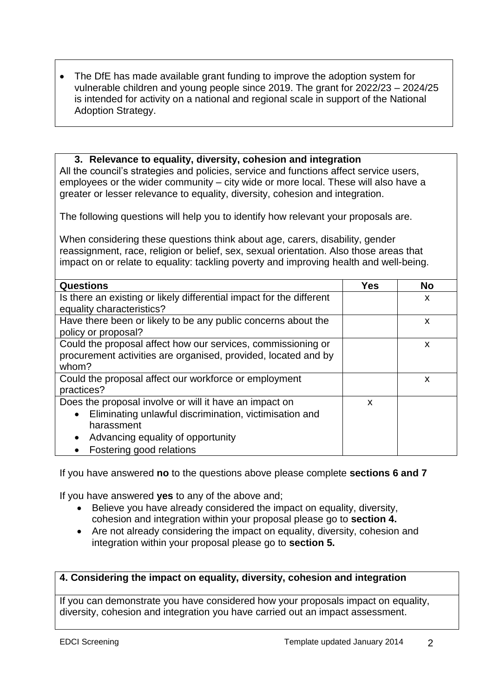The DfE has made available grant funding to improve the adoption system for vulnerable children and young people since 2019. The grant for 2022/23 – 2024/25 is intended for activity on a national and regional scale in support of the National Adoption Strategy.

#### **3. Relevance to equality, diversity, cohesion and integration**

All the council's strategies and policies, service and functions affect service users, employees or the wider community – city wide or more local. These will also have a greater or lesser relevance to equality, diversity, cohesion and integration.

The following questions will help you to identify how relevant your proposals are.

When considering these questions think about age, carers, disability, gender reassignment, race, religion or belief, sex, sexual orientation. Also those areas that impact on or relate to equality: tackling poverty and improving health and well-being.

| <b>Questions</b>                                                     | Yes | <b>No</b> |
|----------------------------------------------------------------------|-----|-----------|
| Is there an existing or likely differential impact for the different |     | X         |
| equality characteristics?                                            |     |           |
| Have there been or likely to be any public concerns about the        |     | X         |
| policy or proposal?                                                  |     |           |
| Could the proposal affect how our services, commissioning or         |     | X         |
| procurement activities are organised, provided, located and by       |     |           |
| whom?                                                                |     |           |
| Could the proposal affect our workforce or employment                |     | X         |
| practices?                                                           |     |           |
| Does the proposal involve or will it have an impact on               | X   |           |
| Eliminating unlawful discrimination, victimisation and<br>$\bullet$  |     |           |
| harassment                                                           |     |           |
| Advancing equality of opportunity<br>$\bullet$                       |     |           |
| Fostering good relations                                             |     |           |

If you have answered **no** to the questions above please complete **sections 6 and 7**

If you have answered **yes** to any of the above and;

- Believe you have already considered the impact on equality, diversity, cohesion and integration within your proposal please go to **section 4.**
- Are not already considering the impact on equality, diversity, cohesion and integration within your proposal please go to **section 5.**

## **4. Considering the impact on equality, diversity, cohesion and integration**

If you can demonstrate you have considered how your proposals impact on equality, diversity, cohesion and integration you have carried out an impact assessment.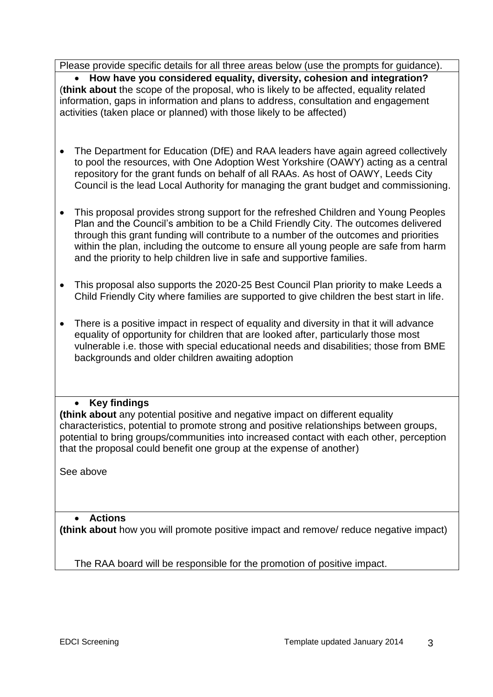Please provide specific details for all three areas below (use the prompts for guidance).

 **How have you considered equality, diversity, cohesion and integration?** (**think about** the scope of the proposal, who is likely to be affected, equality related information, gaps in information and plans to address, consultation and engagement activities (taken place or planned) with those likely to be affected)

- The Department for Education (DfE) and RAA leaders have again agreed collectively to pool the resources, with One Adoption West Yorkshire (OAWY) acting as a central repository for the grant funds on behalf of all RAAs. As host of OAWY, Leeds City Council is the lead Local Authority for managing the grant budget and commissioning.
- This proposal provides strong support for the refreshed Children and Young Peoples Plan and the Council's ambition to be a Child Friendly City. The outcomes delivered through this grant funding will contribute to a number of the outcomes and priorities within the plan, including the outcome to ensure all young people are safe from harm and the priority to help children live in safe and supportive families.
- This proposal also supports the 2020-25 Best Council Plan priority to make Leeds a Child Friendly City where families are supported to give children the best start in life.
- There is a positive impact in respect of equality and diversity in that it will advance equality of opportunity for children that are looked after, particularly those most vulnerable i.e. those with special educational needs and disabilities; those from BME backgrounds and older children awaiting adoption

## **Key findings**

**(think about** any potential positive and negative impact on different equality characteristics, potential to promote strong and positive relationships between groups, potential to bring groups/communities into increased contact with each other, perception that the proposal could benefit one group at the expense of another)

See above

#### **Actions**

**(think about** how you will promote positive impact and remove/ reduce negative impact)

The RAA board will be responsible for the promotion of positive impact.